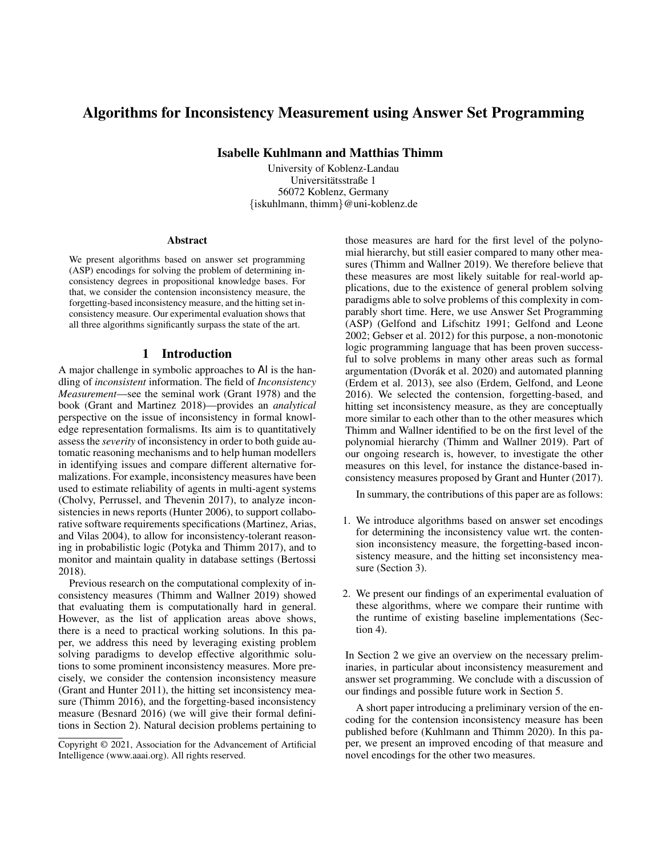# Algorithms for Inconsistency Measurement using Answer Set Programming

Isabelle Kuhlmann and Matthias Thimm

University of Koblenz-Landau Universitätsstraße 1 56072 Koblenz, Germany {iskuhlmann, thimm}@uni-koblenz.de

#### Abstract

We present algorithms based on answer set programming (ASP) encodings for solving the problem of determining inconsistency degrees in propositional knowledge bases. For that, we consider the contension inconsistency measure, the forgetting-based inconsistency measure, and the hitting set inconsistency measure. Our experimental evaluation shows that all three algorithms significantly surpass the state of the art.

# 1 Introduction

A major challenge in symbolic approaches to AI is the handling of *inconsistent* information. The field of *Inconsistency Measurement*—see the seminal work (Grant 1978) and the book (Grant and Martinez 2018)—provides an *analytical* perspective on the issue of inconsistency in formal knowledge representation formalisms. Its aim is to quantitatively assess the *severity* of inconsistency in order to both guide automatic reasoning mechanisms and to help human modellers in identifying issues and compare different alternative formalizations. For example, inconsistency measures have been used to estimate reliability of agents in multi-agent systems (Cholvy, Perrussel, and Thevenin 2017), to analyze inconsistencies in news reports (Hunter 2006), to support collaborative software requirements specifications (Martinez, Arias, and Vilas 2004), to allow for inconsistency-tolerant reasoning in probabilistic logic (Potyka and Thimm 2017), and to monitor and maintain quality in database settings (Bertossi 2018).

Previous research on the computational complexity of inconsistency measures (Thimm and Wallner 2019) showed that evaluating them is computationally hard in general. However, as the list of application areas above shows, there is a need to practical working solutions. In this paper, we address this need by leveraging existing problem solving paradigms to develop effective algorithmic solutions to some prominent inconsistency measures. More precisely, we consider the contension inconsistency measure (Grant and Hunter 2011), the hitting set inconsistency measure (Thimm 2016), and the forgetting-based inconsistency measure (Besnard 2016) (we will give their formal definitions in Section 2). Natural decision problems pertaining to

those measures are hard for the first level of the polynomial hierarchy, but still easier compared to many other measures (Thimm and Wallner 2019). We therefore believe that these measures are most likely suitable for real-world applications, due to the existence of general problem solving paradigms able to solve problems of this complexity in comparably short time. Here, we use Answer Set Programming (ASP) (Gelfond and Lifschitz 1991; Gelfond and Leone 2002; Gebser et al. 2012) for this purpose, a non-monotonic logic programming language that has been proven successful to solve problems in many other areas such as formal argumentation (Dvorák et al. 2020) and automated planning (Erdem et al. 2013), see also (Erdem, Gelfond, and Leone 2016). We selected the contension, forgetting-based, and hitting set inconsistency measure, as they are conceptually more similar to each other than to the other measures which Thimm and Wallner identified to be on the first level of the polynomial hierarchy (Thimm and Wallner 2019). Part of our ongoing research is, however, to investigate the other measures on this level, for instance the distance-based inconsistency measures proposed by Grant and Hunter (2017).

In summary, the contributions of this paper are as follows:

- 1. We introduce algorithms based on answer set encodings for determining the inconsistency value wrt. the contension inconsistency measure, the forgetting-based inconsistency measure, and the hitting set inconsistency measure (Section 3).
- 2. We present our findings of an experimental evaluation of these algorithms, where we compare their runtime with the runtime of existing baseline implementations (Section 4).

In Section 2 we give an overview on the necessary preliminaries, in particular about inconsistency measurement and answer set programming. We conclude with a discussion of our findings and possible future work in Section 5.

A short paper introducing a preliminary version of the encoding for the contension inconsistency measure has been published before (Kuhlmann and Thimm 2020). In this paper, we present an improved encoding of that measure and novel encodings for the other two measures.

Copyright © 2021, Association for the Advancement of Artificial Intelligence (www.aaai.org). All rights reserved.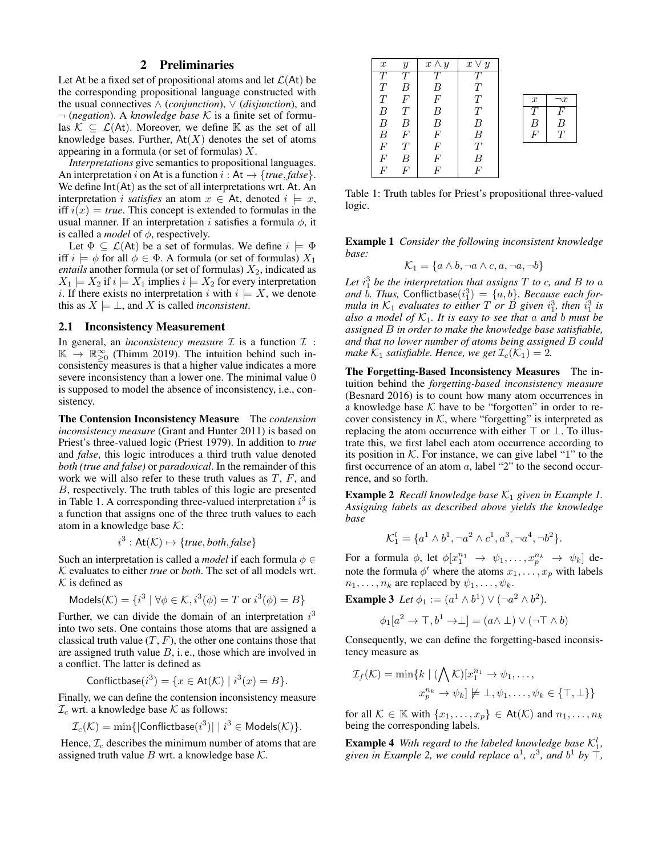# 2 Preliminaries

Let At be a fixed set of propositional atoms and let  $\mathcal{L}(A_t)$  be the corresponding propositional language constructed with the usual connectives ∧ (*conjunction*), ∨ (*disjunction*), and ¬ (*negation*). A *knowledge base* K is a finite set of formulas  $\mathcal{K} \subseteq \mathcal{L}(A_t)$ . Moreover, we define K as the set of all knowledge bases. Further,  $At(X)$  denotes the set of atoms appearing in a formula (or set of formulas)  $X$ .

*Interpretations* give semantics to propositional languages. An interpretation i on At is a function  $i : At \rightarrow \{true, false\}$ . We define  $Int(At)$  as the set of all interpretations wrt. At. An interpretation *i satisfies* an atom  $x \in$  At, denoted  $i \models x$ , iff  $i(x) = true$ . This concept is extended to formulas in the usual manner. If an interpretation i satisfies a formula  $\phi$ , it is called a *model* of  $\phi$ , respectively.

Let  $\Phi \subseteq \mathcal{L}(A_t)$  be a set of formulas. We define  $i \models \Phi$ iff  $i \models \phi$  for all  $\phi \in \Phi$ . A formula (or set of formulas)  $X_1$ *entails* another formula (or set of formulas)  $X_2$ , indicated as  $X_1 \models X_2$  if  $i \models X_1$  implies  $i \models X_2$  for every interpretation i. If there exists no interpretation i with  $i \models X$ , we denote this as  $X \models \bot$ , and X is called *inconsistent*.

### 2.1 Inconsistency Measurement

In general, an *inconsistency measure*  $\mathcal I$  is a function  $\mathcal I$  :  $\mathbb{K} \to \mathbb{R}^{\infty}_{\geq 0}$  (Thimm 2019). The intuition behind such inconsistency measures is that a higher value indicates a more severe inconsistency than a lower one. The minimal value 0 is supposed to model the absence of inconsistency, i.e., consistency.

The Contension Inconsistency Measure The *contension inconsistency measure* (Grant and Hunter 2011) is based on Priest's three-valued logic (Priest 1979). In addition to *true* and *false*, this logic introduces a third truth value denoted *both (true and false)* or *paradoxical*. In the remainder of this work we will also refer to these truth values as  $T$ ,  $F$ , and B, respectively. The truth tables of this logic are presented in Table 1. A corresponding three-valued interpretation  $i^3$  is a function that assigns one of the three truth values to each atom in a knowledge base  $K$ :

$$
i^3 : \text{At}(\mathcal{K}) \mapsto \{ \text{true}, \text{both}, \text{false} \}
$$

Such an interpretation is called a *model* if each formula  $\phi \in$ K evaluates to either *true* or *both*. The set of all models wrt.  $K$  is defined as

$$
Models(\mathcal{K}) = \{i^3 \mid \forall \phi \in \mathcal{K}, i^3(\phi) = T \text{ or } i^3(\phi) = B\}
$$

Further, we can divide the domain of an interpretation  $i<sup>3</sup>$ into two sets. One contains those atoms that are assigned a classical truth value  $(T, F)$ , the other one contains those that are assigned truth value  $B$ , i.e., those which are involved in a conflict. The latter is defined as

Conflictbase
$$
(i^3)
$$
 = { $x \in$ At(K) |  $i^3(x) = B$  }.

Finally, we can define the contension inconsistency measure  $\mathcal{I}_c$  wrt. a knowledge base  $\mathcal K$  as follows:

$$
\mathcal{I}_c(\mathcal{K}) = \min\{|\mathsf{Conflictbase}(i^3)| \mid i^3 \in \mathsf{Models}(\mathcal{K})\}.
$$

Hence,  $\mathcal{I}_c$  describes the minimum number of atoms that are assigned truth value  $B$  wrt. a knowledge base  $K$ .

| $\boldsymbol{x}$ | $\mathcal{Y}$    | $x \wedge y$     | $x \vee y$       |                  |          |
|------------------|------------------|------------------|------------------|------------------|----------|
|                  | T                | $\tau$           | T                |                  |          |
| T                | B                | B                | Т                |                  |          |
| T                | $\boldsymbol{F}$ | $\boldsymbol{F}$ | T                | $\boldsymbol{x}$ | $\neg x$ |
| В                | T                | $\boldsymbol{B}$ | $\overline{T}$   | Т                | F        |
| $\boldsymbol{B}$ | B                | B                | $\overline{B}$   | B                | B        |
| $\boldsymbol{B}$ | $\,F$            | $\boldsymbol{F}$ | $\boldsymbol{B}$ | $\boldsymbol{F}$ | $\tau$   |
| $\overline{F}$   | T                | $\boldsymbol{F}$ | T                |                  |          |
| $\overline{F}$   | B                | F                | $\boldsymbol{B}$ |                  |          |
| F                | F                | F                | F                |                  |          |

Table 1: Truth tables for Priest's propositional three-valued logic.

Example 1 *Consider the following inconsistent knowledge base:*

$$
\mathcal{K}_1 = \{ a \land b, \neg a \land c, a, \neg a, \neg b \}
$$

Let  $i_1^3$  be the interpretation that assigns T to c, and B to a and  $\tilde{b}$ . Thus, Conflictbase $(i_1^3) = \{a, b\}$ . Because each for*mula in*  $K_1$  *evaluates to either*  $T$  *or*  $\check{B}$  *given*  $i_1^3$ *, then*  $i_1^3$  *is also a model of*  $K_1$ *. It is easy to see that a and b must be assigned* B *in order to make the knowledge base satisfiable, and that no lower number of atoms being assigned* B *could make*  $K_1$  *satisfiable. Hence, we get*  $\mathcal{I}_c(K_1) = 2$ .

The Forgetting-Based Inconsistency Measures The intuition behind the *forgetting-based inconsistency measure* (Besnard 2016) is to count how many atom occurrences in a knowledge base  $K$  have to be "forgotten" in order to recover consistency in  $K$ , where "forgetting" is interpreted as replacing the atom occurrence with either  $\top$  or  $\bot$ . To illustrate this, we first label each atom occurrence according to its position in  $K$ . For instance, we can give label "1" to the first occurrence of an atom a, label "2" to the second occurrence, and so forth.

**Example 2** *Recall knowledge base*  $K_1$  *given in Example 1. Assigning labels as described above yields the knowledge base*

$$
\mathcal{K}_1^l = \{a^1 \wedge b^1, \neg a^2 \wedge c^1, a^3, \neg a^4, \neg b^2\}.
$$

For a formula  $\phi$ , let  $\phi[x_1^{n_1} \rightarrow \psi_1, \dots, x_p^{n_k} \rightarrow \psi_k]$  denote the formula  $\phi'$  where the atoms  $x_1, \ldots, x_p$  with labels  $n_1, \ldots, n_k$  are replaced by  $\psi_1, \ldots, \psi_k$ .

**Example 3** Let  $\phi_1 := (a^1 \wedge b^1) \vee (\neg a^2 \wedge b^2)$ .

$$
\phi_1[a^2 \to \top, b^1 \to \bot] = (a \land \bot) \lor (\neg \top \land b)
$$

Consequently, we can define the forgetting-based inconsistency measure as

$$
\mathcal{I}_f(\mathcal{K}) = \min\{k \mid (\bigwedge \mathcal{K})[x_1^{n_1} \to \psi_1, \dots, \\
x_p^{n_k} \to \psi_k] \not\models \bot, \psi_1, \dots, \psi_k \in \{\top, \bot\}\}
$$

for all  $\mathcal{K} \in \mathbb{K}$  with  $\{x_1, \ldots, x_p\} \in \mathsf{At}(\mathcal{K})$  and  $n_1, \ldots, n_k$ being the corresponding labels.

**Example 4** With regard to the labeled knowledge base  $K_1^l$ , given in Example 2, we could replace  $a^1$ ,  $a^3$ , and  $b^1$  by  $\overline{\dagger}$ ,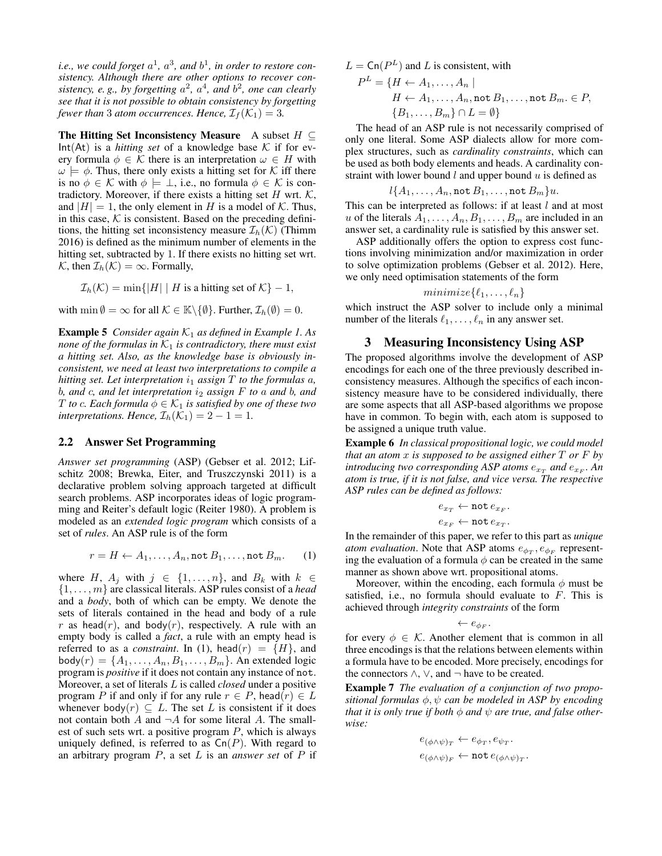*i.e., we could forget*  $a^1$ *,*  $a^3$ *, and*  $b^1$ *, in order to restore consistency. Although there are other options to recover con*sistency, e.g., by forgetting  $a^2$ ,  $a^4$ , and  $b^2$ , one can clearly *see that it is not possible to obtain consistency by forgetting fewer than* 3 *atom occurrences. Hence,*  $\mathcal{I}_f(\mathcal{K}_1) = 3$ .

The Hitting Set Inconsistency Measure A subset  $H \subseteq$  $Int(At)$  is a *hitting set* of a knowledge base  $K$  if for every formula  $\phi \in \mathcal{K}$  there is an interpretation  $\omega \in H$  with  $\omega \models \phi$ . Thus, there only exists a hitting set for K iff there is no  $\phi \in \mathcal{K}$  with  $\phi \models \bot$ , i.e., no formula  $\phi \in \mathcal{K}$  is contradictory. Moreover, if there exists a hitting set  $H$  wrt.  $K$ , and  $|H| = 1$ , the only element in H is a model of K. Thus, in this case,  $K$  is consistent. Based on the preceding definitions, the hitting set inconsistency measure  $\mathcal{I}_h(\mathcal{K})$  (Thimm 2016) is defined as the minimum number of elements in the hitting set, subtracted by 1. If there exists no hitting set wrt. K, then  $\mathcal{I}_h(\mathcal{K}) = \infty$ . Formally,

$$
\mathcal{I}_h(\mathcal{K}) = \min\{|H| \mid H \text{ is a hitting set of } \mathcal{K}\} - 1,
$$

with  $\min \emptyset = \infty$  for all  $\mathcal{K} \in \mathbb{K} \backslash \{\emptyset\}$ . Further,  $\mathcal{I}_h(\emptyset) = 0$ .

**Example 5** *Consider again*  $K_1$  *as defined in Example 1. As none of the formulas in*  $K_1$  *is contradictory, there must exist a hitting set. Also, as the knowledge base is obviously inconsistent, we need at least two interpretations to compile a hitting set. Let interpretation*  $i_1$  *assign*  $T$  *to the formulas*  $a$ *,* b*, and* c*, and let interpretation* i<sup>2</sup> *assign* F *to* a *and* b*, and T* to *c*. Each formula  $\phi \in \mathcal{K}_1$  is satisfied by one of these two *interpretations. Hence,*  $\mathcal{I}_h(\mathcal{K}_1) = 2 - 1 = 1$ .

#### 2.2 Answer Set Programming

*Answer set programming* (ASP) (Gebser et al. 2012; Lifschitz 2008; Brewka, Eiter, and Truszczynski 2011) is a declarative problem solving approach targeted at difficult search problems. ASP incorporates ideas of logic programming and Reiter's default logic (Reiter 1980). A problem is modeled as an *extended logic program* which consists of a set of *rules*. An ASP rule is of the form

$$
r = H \leftarrow A_1, \dots, A_n, \text{not } B_1, \dots, \text{not } B_m.
$$
 (1)

where H,  $A_i$  with  $j \in \{1, \ldots, n\}$ , and  $B_k$  with  $k \in$ {1, . . . , m} are classical literals. ASP rules consist of a *head* and a *body*, both of which can be empty. We denote the sets of literals contained in the head and body of a rule r as head(r), and body(r), respectively. A rule with an empty body is called a *fact*, a rule with an empty head is referred to as a *constraint*. In (1), head( $r$ ) = {H}, and  $body(r) = \{A_1, \ldots, A_n, B_1, \ldots, B_m\}$ . An extended logic program is *positive* if it does not contain any instance of not. Moreover, a set of literals L is called *closed* under a positive program P if and only if for any rule  $r \in P$ , head $(r) \in L$ whenever body $(r) \subseteq L$ . The set L is consistent if it does not contain both  $A$  and  $\neg A$  for some literal  $A$ . The smallest of such sets wrt. a positive program  $P$ , which is always uniquely defined, is referred to as  $\textsf{Cn}(P)$ . With regard to an arbitrary program P, a set L is an *answer set* of P if

 $L = \textsf{Cn}(P^L)$  and L is consistent, with

$$
P^{L} = \{H \leftarrow A_1, \dots, A_n \mid
$$
  
\n
$$
H \leftarrow A_1, \dots, A_n, \text{not } B_1, \dots, \text{not } B_m \in P,
$$
  
\n
$$
\{B_1, \dots, B_m\} \cap L = \emptyset\}
$$

The head of an ASP rule is not necessarily comprised of only one literal. Some ASP dialects allow for more complex structures, such as *cardinality constraints*, which can be used as both body elements and heads. A cardinality constraint with lower bound  $l$  and upper bound  $u$  is defined as

$$
l\{A_1,\ldots,A_n,\texttt{not}\,B_1,\ldots,\texttt{not}\,B_m\}u.
$$

This can be interpreted as follows: if at least  $l$  and at most u of the literals  $A_1, \ldots, A_n, B_1, \ldots, B_m$  are included in an answer set, a cardinality rule is satisfied by this answer set.

ASP additionally offers the option to express cost functions involving minimization and/or maximization in order to solve optimization problems (Gebser et al. 2012). Here, we only need optimisation statements of the form

$$
minimize \{\ell_1, \ldots, \ell_n\}
$$

which instruct the ASP solver to include only a minimal number of the literals  $\ell_1, \ldots, \ell_n$  in any answer set.

#### 3 Measuring Inconsistency Using ASP

The proposed algorithms involve the development of ASP encodings for each one of the three previously described inconsistency measures. Although the specifics of each inconsistency measure have to be considered individually, there are some aspects that all ASP-based algorithms we propose have in common. To begin with, each atom is supposed to be assigned a unique truth value.

Example 6 *In classical propositional logic, we could model that an atom* x *is supposed to be assigned either* T *or* F *by*  $introducing two corresponding ASP atoms$   $e_{x_T}$  and  $e_{x_F}$ . An *atom is true, if it is not false, and vice versa. The respective ASP rules can be defined as follows:*

$$
e_{x_T} \leftarrow \texttt{not} \, e_{x_F}.
$$

$$
e_{x_F} \leftarrow \texttt{not} \, e_{x_T}.
$$

In the remainder of this paper, we refer to this part as *unique atom evaluation*. Note that ASP atoms  $e_{\phi_T}, e_{\phi_F}$  representing the evaluation of a formula  $\phi$  can be created in the same manner as shown above wrt. propositional atoms.

Moreover, within the encoding, each formula  $\phi$  must be satisfied, i.e., no formula should evaluate to  $F$ . This is achieved through *integrity constraints* of the form

$$
\leftarrow e_{\phi_F}.
$$

for every  $\phi \in \mathcal{K}$ . Another element that is common in all three encodings is that the relations between elements within a formula have to be encoded. More precisely, encodings for the connectors  $\land$ ,  $\lor$ , and  $\neg$  have to be created.

Example 7 *The evaluation of a conjunction of two propositional formulas* φ, ψ *can be modeled in ASP by encoding that it is only true if both*  $\phi$  *and*  $\psi$  *are true, and false otherwise:*

$$
\begin{aligned} e_{(\phi \land \psi)_T} &\leftarrow e_{\phi_T}, e_{\psi_T}.\\ e_{(\phi \land \psi)_F} &\leftarrow \texttt{not}\, e_{(\phi \land \psi)_T}. \end{aligned}
$$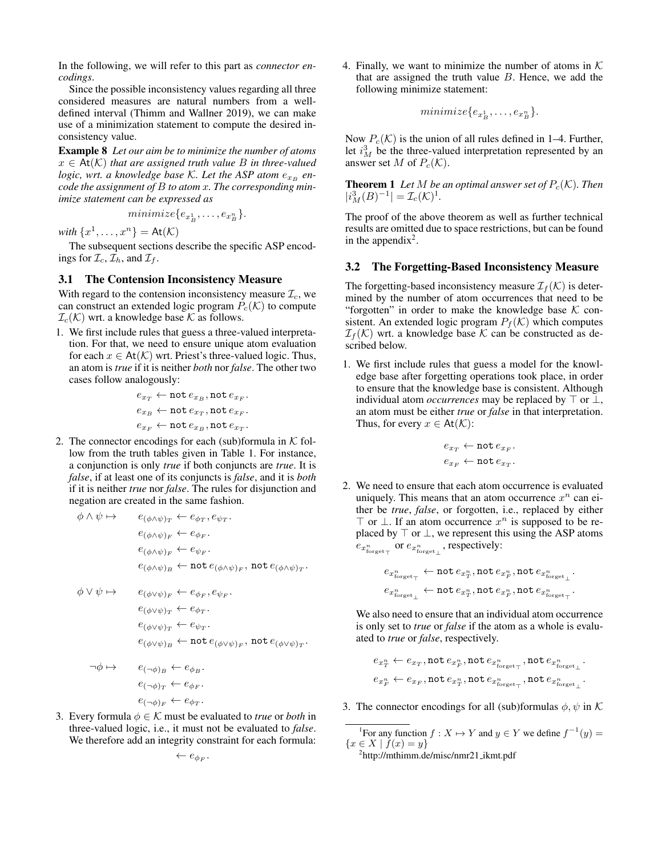In the following, we will refer to this part as *connector encodings*.

Since the possible inconsistency values regarding all three considered measures are natural numbers from a welldefined interval (Thimm and Wallner 2019), we can make use of a minimization statement to compute the desired inconsistency value.

Example 8 *Let our aim be to minimize the number of atoms*  $x \in At(K)$  *that are assigned truth value B in three-valued logic, wrt. a knowledge base K. Let the ASP atom*  $e_{x_B}$  *encode the assignment of* B *to atom* x*. The corresponding minimize statement can be expressed as*

$$
minimize \{e_{x_B^1}, \ldots, e_{x_B^n}\}.
$$

*with*  $\{x^1, \ldots, x^n\} = \text{At}(\mathcal{K})$ 

The subsequent sections describe the specific ASP encodings for  $\mathcal{I}_c$ ,  $\mathcal{I}_h$ , and  $\mathcal{I}_f$ .

#### 3.1 The Contension Inconsistency Measure

With regard to the contension inconsistency measure  $\mathcal{I}_c$ , we can construct an extended logic program  $P_c(\mathcal{K})$  to compute  $\mathcal{I}_c(\mathcal{K})$  wrt. a knowledge base  $\mathcal K$  as follows.

1. We first include rules that guess a three-valued interpretation. For that, we need to ensure unique atom evaluation for each  $x \in At(K)$  wrt. Priest's three-valued logic. Thus, an atom is *true* if it is neither *both* nor *false*. The other two cases follow analogously:

$$
\begin{aligned} e_{x_T} &\leftarrow \texttt{not}\, e_{x_B}, \texttt{not}\, e_{x_F}, \\ e_{x_B} &\leftarrow \texttt{not}\, e_{x_T}, \texttt{not}\, e_{x_F}, \\ e_{x_F} &\leftarrow \texttt{not}\, e_{x_B}, \texttt{not}\, e_{x_T}. \end{aligned}
$$

2. The connector encodings for each (sub)formula in  $K$  follow from the truth tables given in Table 1. For instance, a conjunction is only *true* if both conjuncts are *true*. It is *false*, if at least one of its conjuncts is *false*, and it is *both* if it is neither *true* nor *false*. The rules for disjunction and negation are created in the same fashion.

$$
\begin{array}{ll}\n\phi \land \psi \mapsto & e_{(\phi \land \psi)_T} \leftarrow e_{\phi_T}, e_{\psi_T}.\n\\ \n\phantom{\phi} e_{(\phi \land \psi)_F} \leftarrow e_{\phi_F}.\n\\ \n\phantom{\phi} e_{(\phi \land \psi)_F} \leftarrow e_{\psi_F}.\n\\ \n\phantom{\phi} e_{(\phi \land \psi)_B} \leftarrow \mathrm{not} \, e_{(\phi \land \psi)_F}, \, \mathrm{not} \, e_{(\phi \land \psi)_T}.\n\end{array}
$$
\n
$$
\begin{array}{ll}\n\phi \lor \psi \mapsto & e_{(\phi \lor \psi)_F} \leftarrow e_{\phi_F}, e_{\psi_F}.\n\\ \n\phantom{\phi} e_{(\phi \lor \psi)_T} \leftarrow e_{\phi_T}.\n\\ \n\phantom{\phi} e_{(\phi \lor \psi)_T} \leftarrow e_{\psi_T}.\n\\ \n\phantom{\phi} e_{(\phi \lor \psi)_B} \leftarrow \mathrm{not} \, e_{(\phi \lor \psi)_F}, \, \mathrm{not} \, e_{(\phi \lor \psi)_T}.\n\end{array}
$$

$$
\neg \phi \mapsto e_{(\neg \phi)_B} \leftarrow e_{\phi_B}.
$$
  

$$
e_{(\neg \phi)_T} \leftarrow e_{\phi_F}.
$$
  

$$
e_{(\neg \phi)_F} \leftarrow e_{\phi_T}.
$$

3. Every formula  $\phi \in \mathcal{K}$  must be evaluated to *true* or *both* in three-valued logic, i.e., it must not be evaluated to *false*. We therefore add an integrity constraint for each formula:

 $\leftarrow e_{\phi_F}.$ 

4. Finally, we want to minimize the number of atoms in  $K$ that are assigned the truth value  $B$ . Hence, we add the following minimize statement:

$$
minimize \{e_{x_B^1}, \ldots, e_{x_B^n}\}.
$$

Now  $P_c(\mathcal{K})$  is the union of all rules defined in 1–4. Further, let  $i<sup>3</sup><sub>M</sub>$  be the three-valued interpretation represented by an answer set M of  $P_c(\mathcal{K})$ .

**Theorem 1** Let M be an optimal answer set of  $P_c(\mathcal{K})$ . Then  $|i_M^3(B)^{-1}| = \mathcal{I}_c(\mathcal{K})^1.$ 

The proof of the above theorem as well as further technical results are omitted due to space restrictions, but can be found in the appendix<sup>2</sup>.

#### 3.2 The Forgetting-Based Inconsistency Measure

The forgetting-based inconsistency measure  $\mathcal{I}_f(\mathcal{K})$  is determined by the number of atom occurrences that need to be "forgotten" in order to make the knowledge base  $K$  consistent. An extended logic program  $P_f(\mathcal{K})$  which computes  $\mathcal{I}_f(\mathcal{K})$  wrt. a knowledge base  $\mathcal K$  can be constructed as described below.

1. We first include rules that guess a model for the knowledge base after forgetting operations took place, in order to ensure that the knowledge base is consistent. Although individual atom *occurrences* may be replaced by  $\top$  or  $\bot$ , an atom must be either *true* or *false* in that interpretation. Thus, for every  $x \in \mathsf{At}(\mathcal{K})$ :

$$
\begin{aligned} e_{x_T} \leftarrow \texttt{not}\, e_{x_F},\\ e_{x_F} \leftarrow \texttt{not}\, e_{x_T}. \end{aligned}
$$

2. We need to ensure that each atom occurrence is evaluated uniquely. This means that an atom occurrence  $x^n$  can either be *true*, *false*, or forgotten, i.e., replaced by either ⊤ or  $\bot$ . If an atom occurrence  $x^n$  is supposed to be replaced by  $\top$  or  $\bot$ , we represent this using the ASP atoms  $e_{x_{\text{forget}_{\top}}^n}$  or  $e_{x_{\text{forget}_{\bot}}^n}$ , respectively:

$$
\begin{aligned} e_{x_{\mathrm{forget}\top}^n} \leftarrow & \texttt{not} \, e_{x_T^n}, \texttt{not} \, e_{x_F^n}, \texttt{not} \, e_{x_{\mathrm{forget}\bot}^n} \\ e_{x_{\mathrm{forget}\bot}^n} \leftarrow & \texttt{not} \, e_{x_T^n}, \texttt{not} \, e_{x_F^n}, \texttt{not} \, e_{x_{\mathrm{forget}\top}^n}. \end{aligned}
$$

We also need to ensure that an individual atom occurrence is only set to *true* or *false* if the atom as a whole is evaluated to *true* or *false*, respectively.

$$
e_{x_T^n} \leftarrow e_{x_T}, \texttt{not}\ e_{x_F^n}, \texttt{not}\ e_{x_\textsf{forget}_\top}, \texttt{not}\ e_{x_\textsf{forget}_\bot^n}.
$$

3. The connector encodings for all (sub)formulas  $\phi$ ,  $\psi$  in K

<sup>1</sup>For any function  $f: X \mapsto Y$  and  $y \in Y$  we define  $f^{-1}(y) =$  ${x \in X \mid f(x) = y}$ 

<sup>&</sup>lt;sup>2</sup>http://mthimm.de/misc/nmr21\_ikmt.pdf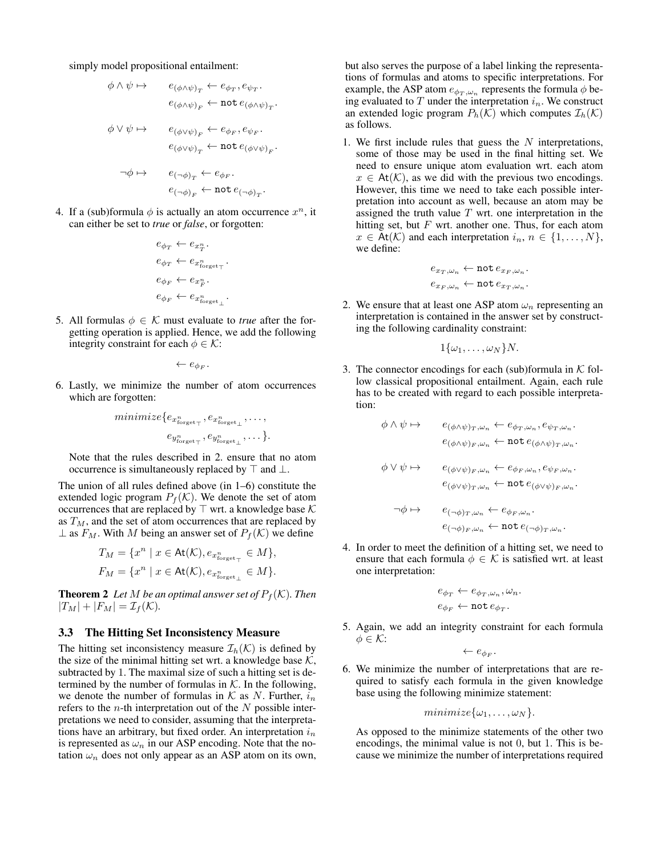simply model propositional entailment:

$$
\begin{array}{lcl} \phi \wedge \psi \mapsto & & e_{(\phi \wedge \psi)_T} \leftarrow e_{\phi_T}, e_{\psi_T}. \\ & & \\ & & e_{(\phi \wedge \psi)_F} \leftarrow \texttt{not} \, e_{(\phi \wedge \psi)_T}. \\ & & \\ \phi \vee \psi \mapsto & & e_{(\phi \vee \psi)_F} \leftarrow e_{\phi_F}, e_{\psi_F}. \\ & & \\ & & & \\ & & e_{(\phi \vee \psi)_T} \leftarrow \texttt{not} \, e_{(\phi \vee \psi)_F}. \\ & & \\ & & & \\ \neg \phi \mapsto & & e_{(\neg \phi)_T} \leftarrow e_{\phi_F}. \\ & & \\ & & & \\ & & & \\ & & & \\ \end{array}
$$

4. If a (sub)formula  $\phi$  is actually an atom occurrence  $x^n$ , it can either be set to *true* or *false*, or forgotten:

$$
\begin{aligned} &e_{\phi_T} \leftarrow e_{x_T^n}.\\ &e_{\phi_T} \leftarrow e_{x_\text{forget_T}^n}.\\ &e_{\phi_F} \leftarrow e_{x_F^n}.\\ &e_{\phi_F} \leftarrow e_{x_{\text{forget}_\perp}^n}. \end{aligned}
$$

5. All formulas  $\phi \in \mathcal{K}$  must evaluate to *true* after the forgetting operation is applied. Hence, we add the following integrity constraint for each  $\phi \in \mathcal{K}$ :

 $\leftarrow e_{\phi_F}.$ 

6. Lastly, we minimize the number of atom occurrences which are forgotten:

$$
minimize \{e_{x_{\text{forget}_{\top}}^n}, e_{x_{\text{forget}_{\bot}}^n}, \dots, \\ e_{y_{\text{forget}_{\top}}^n}, e_{y_{\text{forget}_{\bot}}^n}, \dots \}.
$$

Note that the rules described in 2. ensure that no atom occurrence is simultaneously replaced by  $\top$  and  $\bot$ .

The union of all rules defined above (in 1–6) constitute the extended logic program  $P_f(\mathcal{K})$ . We denote the set of atom occurrences that are replaced by  $\top$  wrt. a knowledge base  $\mathcal K$ as  $T_M$ , and the set of atom occurrences that are replaced by  $\perp$  as  $F_M$ . With M being an answer set of  $P_f(\mathcal{K})$  we define

$$
T_M = \{x^n \mid x \in \text{At}(\mathcal{K}), e_{x^n_{\text{forget}_\top}} \in M\},\
$$
  

$$
F_M = \{x^n \mid x \in \text{At}(\mathcal{K}), e_{x^n_{\text{forget}_\bot}} \in M\}.
$$

**Theorem 2** *Let M be an optimal answer set of*  $P_f(K)$ *. Then*  $|T_M| + |F_M| = \mathcal{I}_f(\mathcal{K}).$ 

#### 3.3 The Hitting Set Inconsistency Measure

The hitting set inconsistency measure  $\mathcal{I}_h(\mathcal{K})$  is defined by the size of the minimal hitting set wrt. a knowledge base  $K$ , subtracted by 1. The maximal size of such a hitting set is determined by the number of formulas in  $K$ . In the following, we denote the number of formulas in  $K$  as N. Further,  $i_n$ refers to the *n*-th interpretation out of the  $N$  possible interpretations we need to consider, assuming that the interpretations have an arbitrary, but fixed order. An interpretation  $i_n$ is represented as  $\omega_n$  in our ASP encoding. Note that the notation  $\omega_n$  does not only appear as an ASP atom on its own, but also serves the purpose of a label linking the representations of formulas and atoms to specific interpretations. For example, the ASP atom  $e_{\phi_T,\omega_n}$  represents the formula  $\phi$  being evaluated to  $T$  under the interpretation  $i_n$ . We construct an extended logic program  $P_h(\mathcal{K})$  which computes  $\mathcal{I}_h(\mathcal{K})$ as follows.

1. We first include rules that guess the  $N$  interpretations, some of those may be used in the final hitting set. We need to ensure unique atom evaluation wrt. each atom  $x \in$  At(K), as we did with the previous two encodings. However, this time we need to take each possible interpretation into account as well, because an atom may be assigned the truth value  $T$  wrt. one interpretation in the hitting set, but  $F$  wrt. another one. Thus, for each atom  $x \in$  At(K) and each interpretation  $i_n, n \in \{1, \ldots, N\},\$ we define:

$$
e_{x_T,\omega_n} \leftarrow \texttt{not}\, e_{x_F,\omega_n}.
$$
  

$$
e_{x_F,\omega_n} \leftarrow \texttt{not}\, e_{x_T,\omega_n}.
$$

2. We ensure that at least one ASP atom  $\omega_n$  representing an interpretation is contained in the answer set by constructing the following cardinality constraint:

$$
1\{\omega_1,\ldots,\omega_N\}N.
$$

3. The connector encodings for each (sub)formula in  $K$  follow classical propositional entailment. Again, each rule has to be created with regard to each possible interpretation:

$$
\begin{array}{lll} \phi \wedge \psi \mapsto & e_{(\phi \wedge \psi)_T, \omega_n} \leftarrow e_{\phi_T, \omega_n}, e_{\psi_T, \omega_n}. \\ & & \\ & e_{(\phi \wedge \psi)_F, \omega_n} \leftarrow \texttt{not} \, e_{(\phi \wedge \psi)_T, \omega_n}. \\ & & \\ \phi \vee \psi \mapsto & e_{(\phi \vee \psi)_F, \omega_n} \leftarrow e_{\phi_F, \omega_n}, e_{\psi_F, \omega_n}. \\ & & \\ & & \\ & e_{(\phi \vee \psi)_T, \omega_n} \leftarrow \texttt{not} \, e_{(\phi \vee \psi)_F, \omega_n}. \\ & & \\ & & \\ & & \\ & & \\ & & e_{(\neg \phi)_F, \omega_n} \leftarrow \texttt{not} \, e_{(\neg \phi)_T, \omega_n}. \end{array}
$$

4. In order to meet the definition of a hitting set, we need to ensure that each formula  $\phi \in \mathcal{K}$  is satisfied wrt. at least one interpretation:

$$
e_{\phi_T} \leftarrow e_{\phi_T, \omega_n}, \omega_n.
$$
  

$$
e_{\phi_F} \leftarrow \text{not } e_{\phi_T}.
$$

5. Again, we add an integrity constraint for each formula  $\phi \in \mathcal{K}$ :

$$
\leftarrow e_{\phi_F}.
$$

6. We minimize the number of interpretations that are required to satisfy each formula in the given knowledge base using the following minimize statement:

$$
minimize \{\omega_1, \ldots, \omega_N\}.
$$

As opposed to the minimize statements of the other two encodings, the minimal value is not 0, but 1. This is because we minimize the number of interpretations required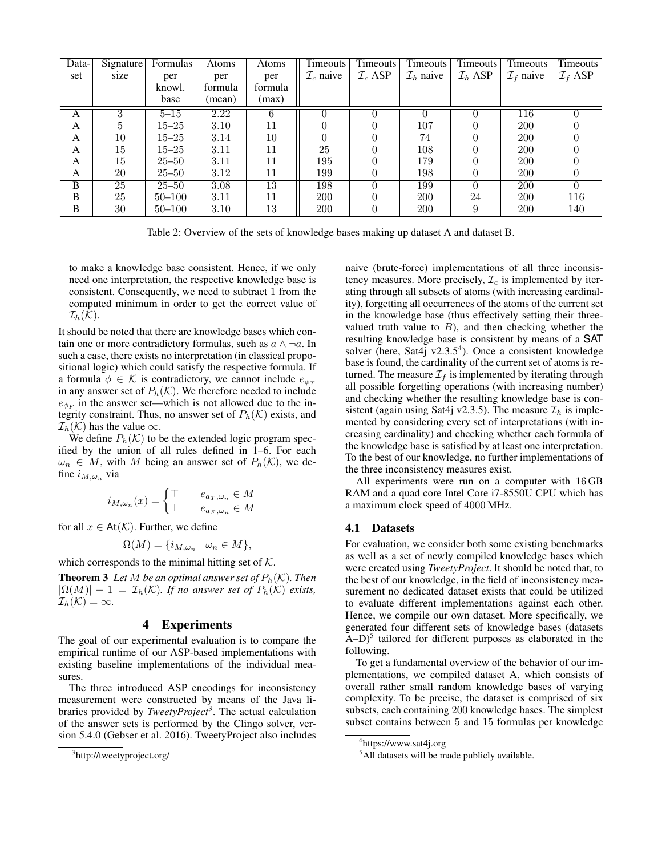| Data- | Signature | <b>Formulas</b> | Atoms   | Atoms   | <b>Timeouts</b>       | Timeouts <sup>1</sup> | Timeouts <sup>1</sup> | <b>Timeouts</b>     | Timeouts              | Timeouts            |
|-------|-----------|-----------------|---------|---------|-----------------------|-----------------------|-----------------------|---------------------|-----------------------|---------------------|
| set   | size      | per             | per     | per     | $\mathcal{I}_c$ naive | $\mathcal{I}_c$ ASP   | $\mathcal{I}_h$ naive | $\mathcal{I}_h$ ASP | $\mathcal{I}_f$ naive | $\mathcal{I}_f$ ASP |
|       |           | knowl.          | formula | formula |                       |                       |                       |                     |                       |                     |
|       |           | base            | (mean)  | (max)   |                       |                       |                       |                     |                       |                     |
| A     | 3         | $5 - 15$        | 2.22    | 6       |                       |                       |                       |                     | 116                   |                     |
| A     | 5         | $15 - 25$       | 3.10    | 11      |                       |                       | 107                   |                     | <b>200</b>            |                     |
| A     | 10        | $15 - 25$       | 3.14    | 10      |                       |                       | 74                    |                     | <b>200</b>            |                     |
| A     | 15        | $15 - 25$       | 3.11    | 11      | 25                    |                       | 108                   |                     | <b>200</b>            |                     |
| A     | 15        | $25 - 50$       | 3.11    | 11      | 195                   |                       | 179                   |                     | <b>200</b>            |                     |
| A     | 20        | $25 - 50$       | 3.12    | 11      | 199                   |                       | 198                   |                     | 200                   |                     |
| B     | 25        | $25 - 50$       | 3.08    | 13      | 198                   | 0                     | 199                   | $\Omega$            | <b>200</b>            |                     |
| B     | 25        | $50 - 100$      | 3.11    | 11      | 200                   |                       | <b>200</b>            | 24                  | <b>200</b>            | 116                 |
| B     | 30        | $50 - 100$      | 3.10    | 13      | 200                   |                       | <b>200</b>            | 9                   | <b>200</b>            | 140                 |

Table 2: Overview of the sets of knowledge bases making up dataset A and dataset B.

to make a knowledge base consistent. Hence, if we only need one interpretation, the respective knowledge base is consistent. Consequently, we need to subtract 1 from the computed minimum in order to get the correct value of  $\mathcal{I}_h(\mathcal{K}).$ 

It should be noted that there are knowledge bases which contain one or more contradictory formulas, such as  $a \wedge \neg a$ . In such a case, there exists no interpretation (in classical propositional logic) which could satisfy the respective formula. If a formula  $\phi \in \mathcal{K}$  is contradictory, we cannot include  $e_{\phi_T}$ in any answer set of  $P_h(\mathcal{K})$ . We therefore needed to include  $e_{\phi_F}$  in the answer set—which is not allowed due to the integrity constraint. Thus, no answer set of  $P_h(\mathcal{K})$  exists, and  $\mathcal{I}_h(\mathcal{K})$  has the value  $\infty$ .

We define  $P_h(\mathcal{K})$  to be the extended logic program specified by the union of all rules defined in 1–6. For each  $\omega_n \in M$ , with M being an answer set of  $P_h(\mathcal{K})$ , we define  $i_{M,\omega_n}$  via

$$
i_{M,\omega_n}(x) = \begin{cases} \top & e_{a_T,\omega_n} \in M \\ \bot & e_{a_F,\omega_n} \in M \end{cases}
$$

for all  $x \in \mathsf{At}(\mathcal{K})$ . Further, we define

$$
\Omega(M) = \{ i_{M,\omega_n} \mid \omega_n \in M \},\
$$

which corresponds to the minimal hitting set of  $K$ .

**Theorem 3** Let M be an optimal answer set of  $P_h(\mathcal{K})$ . Then  $|\Omega(M)| - 1 = \mathcal{I}_h(\mathcal{K})$ *. If no answer set of*  $P_h(\mathcal{K})$  *exists,*  $\mathcal{I}_h(\mathcal{K}) = \infty$ .

# 4 Experiments

The goal of our experimental evaluation is to compare the empirical runtime of our ASP-based implementations with existing baseline implementations of the individual measures.

The three introduced ASP encodings for inconsistency measurement were constructed by means of the Java libraries provided by *TweetyProject*<sup>3</sup> . The actual calculation of the answer sets is performed by the Clingo solver, version 5.4.0 (Gebser et al. 2016). TweetyProject also includes naive (brute-force) implementations of all three inconsistency measures. More precisely,  $\mathcal{I}_c$  is implemented by iterating through all subsets of atoms (with increasing cardinality), forgetting all occurrences of the atoms of the current set in the knowledge base (thus effectively setting their threevalued truth value to  $B$ ), and then checking whether the resulting knowledge base is consistent by means of a SAT solver (here, Sat4j v2.3.5<sup>4</sup>). Once a consistent knowledge base is found, the cardinality of the current set of atoms is returned. The measure  $\mathcal{I}_f$  is implemented by iterating through all possible forgetting operations (with increasing number) and checking whether the resulting knowledge base is consistent (again using Sat4j v2.3.5). The measure  $\mathcal{I}_h$  is implemented by considering every set of interpretations (with increasing cardinality) and checking whether each formula of the knowledge base is satisfied by at least one interpretation. To the best of our knowledge, no further implementations of the three inconsistency measures exist.

All experiments were run on a computer with 16 GB RAM and a quad core Intel Core i7-8550U CPU which has a maximum clock speed of 4000 MHz.

#### 4.1 Datasets

For evaluation, we consider both some existing benchmarks as well as a set of newly compiled knowledge bases which were created using *TweetyProject*. It should be noted that, to the best of our knowledge, in the field of inconsistency measurement no dedicated dataset exists that could be utilized to evaluate different implementations against each other. Hence, we compile our own dataset. More specifically, we generated four different sets of knowledge bases (datasets  $(A-D)^5$  tailored for different purposes as elaborated in the following.

To get a fundamental overview of the behavior of our implementations, we compiled dataset A, which consists of overall rather small random knowledge bases of varying complexity. To be precise, the dataset is comprised of six subsets, each containing 200 knowledge bases. The simplest subset contains between 5 and 15 formulas per knowledge

<sup>&</sup>lt;sup>3</sup>http://tweetyproject.org/

<sup>4</sup> https://www.sat4j.org

<sup>&</sup>lt;sup>5</sup>All datasets will be made publicly available.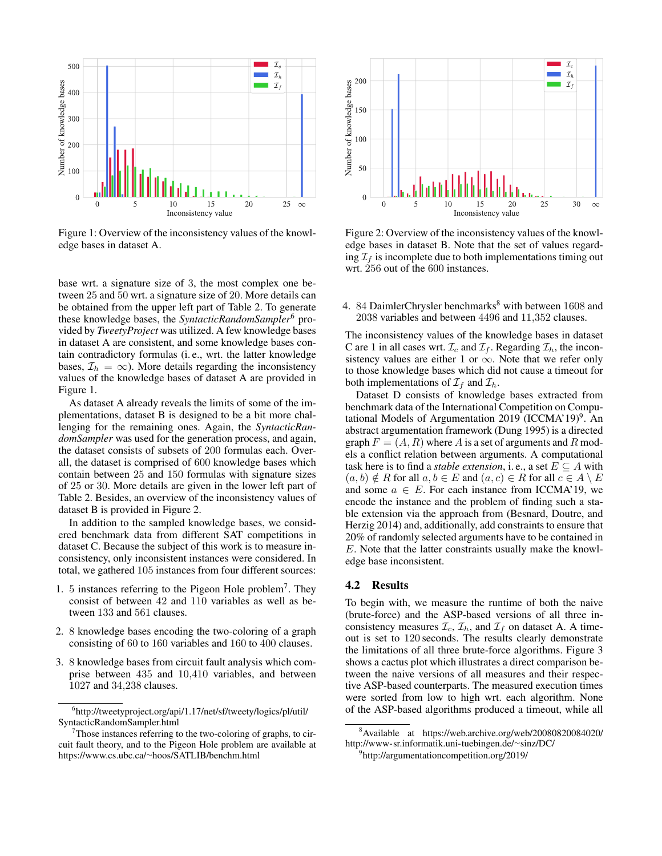

Figure 1: Overview of the inconsistency values of the knowledge bases in dataset A.

base wrt. a signature size of 3, the most complex one between 25 and 50 wrt. a signature size of 20. More details can be obtained from the upper left part of Table 2. To generate these knowledge bases, the *SyntacticRandomSampler*<sup>6</sup> provided by *TweetyProject* was utilized. A few knowledge bases in dataset A are consistent, and some knowledge bases contain contradictory formulas (i. e., wrt. the latter knowledge bases,  $\mathcal{I}_h = \infty$ ). More details regarding the inconsistency values of the knowledge bases of dataset A are provided in Figure 1.

As dataset A already reveals the limits of some of the implementations, dataset B is designed to be a bit more challenging for the remaining ones. Again, the *SyntacticRandomSampler* was used for the generation process, and again, the dataset consists of subsets of 200 formulas each. Overall, the dataset is comprised of 600 knowledge bases which contain between 25 and 150 formulas with signature sizes of 25 or 30. More details are given in the lower left part of Table 2. Besides, an overview of the inconsistency values of dataset B is provided in Figure 2.

In addition to the sampled knowledge bases, we considered benchmark data from different SAT competitions in dataset C. Because the subject of this work is to measure inconsistency, only inconsistent instances were considered. In total, we gathered 105 instances from four different sources:

- 1. 5 instances referring to the Pigeon Hole problem<sup>7</sup> . They consist of between 42 and 110 variables as well as between 133 and 561 clauses.
- 2. 8 knowledge bases encoding the two-coloring of a graph consisting of 60 to 160 variables and 160 to 400 clauses.
- 3. 8 knowledge bases from circuit fault analysis which comprise between 435 and 10,410 variables, and between 1027 and 34,238 clauses.



Figure 2: Overview of the inconsistency values of the knowledge bases in dataset B. Note that the set of values regarding  $\mathcal{I}_f$  is incomplete due to both implementations timing out wrt. 256 out of the 600 instances.

4. 84 DaimlerChrysler benchmarks $8$  with between 1608 and 2038 variables and between 4496 and 11,352 clauses.

The inconsistency values of the knowledge bases in dataset C are 1 in all cases wrt.  $\mathcal{I}_c$  and  $\mathcal{I}_f$ . Regarding  $\mathcal{I}_h$ , the inconsistency values are either 1 or  $\infty$ . Note that we refer only to those knowledge bases which did not cause a timeout for both implementations of  $\mathcal{I}_f$  and  $\mathcal{I}_h$ .

Dataset D consists of knowledge bases extracted from benchmark data of the International Competition on Computational Models of Argumentation 2019 (ICCMA'19)<sup>9</sup>. An abstract argumentation framework (Dung 1995) is a directed graph  $F = (A, R)$  where A is a set of arguments and R models a conflict relation between arguments. A computational task here is to find a *stable extension*, i. e., a set  $E \subseteq A$  with  $(a, b) \notin R$  for all  $a, b \in E$  and  $(a, c) \in R$  for all  $c \in A \setminus E$ and some  $a \in E$ . For each instance from ICCMA'19, we encode the instance and the problem of finding such a stable extension via the approach from (Besnard, Doutre, and Herzig 2014) and, additionally, add constraints to ensure that 20% of randomly selected arguments have to be contained in E. Note that the latter constraints usually make the knowledge base inconsistent.

# 4.2 Results

To begin with, we measure the runtime of both the naive (brute-force) and the ASP-based versions of all three inconsistency measures  $\mathcal{I}_c$ ,  $\mathcal{I}_h$ , and  $\mathcal{I}_f$  on dataset A. A timeout is set to 120 seconds. The results clearly demonstrate the limitations of all three brute-force algorithms. Figure 3 shows a cactus plot which illustrates a direct comparison between the naive versions of all measures and their respective ASP-based counterparts. The measured execution times were sorted from low to high wrt. each algorithm. None of the ASP-based algorithms produced a timeout, while all

<sup>6</sup> http://tweetyproject.org/api/1.17/net/sf/tweety/logics/pl/util/ SyntacticRandomSampler.html

 $7$ Those instances referring to the two-coloring of graphs, to circuit fault theory, and to the Pigeon Hole problem are available at https://www.cs.ubc.ca/∼hoos/SATLIB/benchm.html

<sup>8</sup>Available at https://web.archive.org/web/20080820084020/ http://www-sr.informatik.uni-tuebingen.de/∼sinz/DC/

<sup>9</sup> http://argumentationcompetition.org/2019/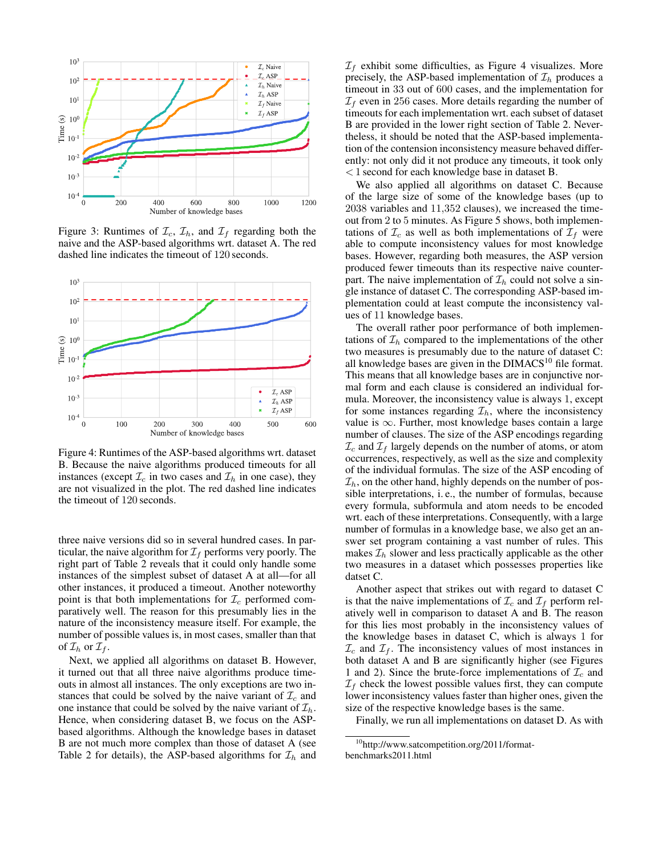

Figure 3: Runtimes of  $\mathcal{I}_c$ ,  $\mathcal{I}_h$ , and  $\mathcal{I}_f$  regarding both the naive and the ASP-based algorithms wrt. dataset A. The red dashed line indicates the timeout of 120 seconds.



Figure 4: Runtimes of the ASP-based algorithms wrt. dataset B. Because the naive algorithms produced timeouts for all instances (except  $\mathcal{I}_c$  in two cases and  $\mathcal{I}_h$  in one case), they are not visualized in the plot. The red dashed line indicates the timeout of 120 seconds.

three naive versions did so in several hundred cases. In particular, the naive algorithm for  $\mathcal{I}_f$  performs very poorly. The right part of Table 2 reveals that it could only handle some instances of the simplest subset of dataset A at all—for all other instances, it produced a timeout. Another noteworthy point is that both implementations for  $\mathcal{I}_c$  performed comparatively well. The reason for this presumably lies in the nature of the inconsistency measure itself. For example, the number of possible values is, in most cases, smaller than that of  $\mathcal{I}_h$  or  $\mathcal{I}_f$ .

Next, we applied all algorithms on dataset B. However, it turned out that all three naive algorithms produce timeouts in almost all instances. The only exceptions are two instances that could be solved by the naive variant of  $\mathcal{I}_c$  and one instance that could be solved by the naive variant of  $\mathcal{I}_h$ . Hence, when considering dataset B, we focus on the ASPbased algorithms. Although the knowledge bases in dataset B are not much more complex than those of dataset A (see Table 2 for details), the ASP-based algorithms for  $\mathcal{I}_h$  and  $\mathcal{I}_f$  exhibit some difficulties, as Figure 4 visualizes. More precisely, the ASP-based implementation of  $\mathcal{I}_h$  produces a timeout in 33 out of 600 cases, and the implementation for  $\mathcal{I}_f$  even in 256 cases. More details regarding the number of timeouts for each implementation wrt. each subset of dataset B are provided in the lower right section of Table 2. Nevertheless, it should be noted that the ASP-based implementation of the contension inconsistency measure behaved differently: not only did it not produce any timeouts, it took only < 1 second for each knowledge base in dataset B.

We also applied all algorithms on dataset C. Because of the large size of some of the knowledge bases (up to 2038 variables and 11,352 clauses), we increased the timeout from 2 to 5 minutes. As Figure 5 shows, both implementations of  $\mathcal{I}_c$  as well as both implementations of  $\mathcal{I}_f$  were able to compute inconsistency values for most knowledge bases. However, regarding both measures, the ASP version produced fewer timeouts than its respective naive counterpart. The naive implementation of  $\mathcal{I}_h$  could not solve a single instance of dataset C. The corresponding ASP-based implementation could at least compute the inconsistency values of 11 knowledge bases.

The overall rather poor performance of both implementations of  $\mathcal{I}_h$  compared to the implementations of the other two measures is presumably due to the nature of dataset C: all knowledge bases are given in the  $DIMACS<sup>10</sup>$  file format. This means that all knowledge bases are in conjunctive normal form and each clause is considered an individual formula. Moreover, the inconsistency value is always 1, except for some instances regarding  $\mathcal{I}_h$ , where the inconsistency value is  $\infty$ . Further, most knowledge bases contain a large number of clauses. The size of the ASP encodings regarding  $\mathcal{I}_c$  and  $\mathcal{I}_f$  largely depends on the number of atoms, or atom occurrences, respectively, as well as the size and complexity of the individual formulas. The size of the ASP encoding of  $\mathcal{I}_h$ , on the other hand, highly depends on the number of possible interpretations, i. e., the number of formulas, because every formula, subformula and atom needs to be encoded wrt. each of these interpretations. Consequently, with a large number of formulas in a knowledge base, we also get an answer set program containing a vast number of rules. This makes  $\mathcal{I}_h$  slower and less practically applicable as the other two measures in a dataset which possesses properties like datset C.

Another aspect that strikes out with regard to dataset C is that the naive implementations of  $\mathcal{I}_c$  and  $\mathcal{I}_f$  perform relatively well in comparison to dataset A and B. The reason for this lies most probably in the inconsistency values of the knowledge bases in dataset C, which is always 1 for  $\mathcal{I}_c$  and  $\mathcal{I}_f$ . The inconsistency values of most instances in both dataset A and B are significantly higher (see Figures 1 and 2). Since the brute-force implementations of  $\mathcal{I}_c$  and  $I_f$  check the lowest possible values first, they can compute lower inconsistency values faster than higher ones, given the size of the respective knowledge bases is the same.

Finally, we run all implementations on dataset D. As with

<sup>10</sup>http://www.satcompetition.org/2011/formatbenchmarks2011.html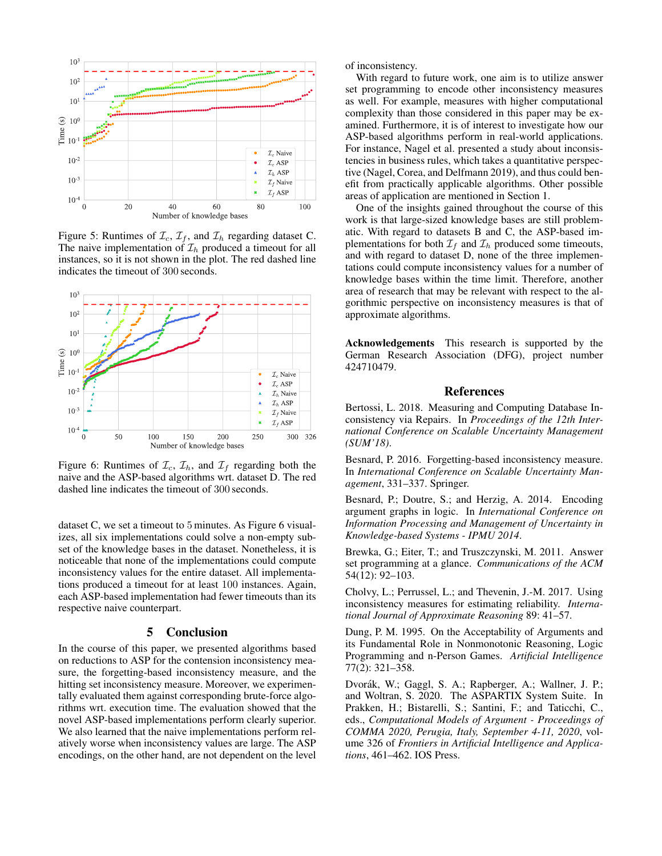

Figure 5: Runtimes of  $\mathcal{I}_c$ ,  $\mathcal{I}_f$ , and  $\mathcal{I}_h$  regarding dataset C. The naive implementation of  $\mathcal{I}_h$  produced a timeout for all instances, so it is not shown in the plot. The red dashed line indicates the timeout of 300 seconds.



Figure 6: Runtimes of  $\mathcal{I}_c$ ,  $\mathcal{I}_h$ , and  $\mathcal{I}_f$  regarding both the naive and the ASP-based algorithms wrt. dataset D. The red dashed line indicates the timeout of 300 seconds.

dataset C, we set a timeout to 5 minutes. As Figure 6 visualizes, all six implementations could solve a non-empty subset of the knowledge bases in the dataset. Nonetheless, it is noticeable that none of the implementations could compute inconsistency values for the entire dataset. All implementations produced a timeout for at least 100 instances. Again, each ASP-based implementation had fewer timeouts than its respective naive counterpart.

# 5 Conclusion

In the course of this paper, we presented algorithms based on reductions to ASP for the contension inconsistency measure, the forgetting-based inconsistency measure, and the hitting set inconsistency measure. Moreover, we experimentally evaluated them against corresponding brute-force algorithms wrt. execution time. The evaluation showed that the novel ASP-based implementations perform clearly superior. We also learned that the naive implementations perform relatively worse when inconsistency values are large. The ASP encodings, on the other hand, are not dependent on the level

of inconsistency.

With regard to future work, one aim is to utilize answer set programming to encode other inconsistency measures as well. For example, measures with higher computational complexity than those considered in this paper may be examined. Furthermore, it is of interest to investigate how our ASP-based algorithms perform in real-world applications. For instance, Nagel et al. presented a study about inconsistencies in business rules, which takes a quantitative perspective (Nagel, Corea, and Delfmann 2019), and thus could benefit from practically applicable algorithms. Other possible areas of application are mentioned in Section 1.

One of the insights gained throughout the course of this work is that large-sized knowledge bases are still problematic. With regard to datasets B and C, the ASP-based implementations for both  $\mathcal{I}_f$  and  $\mathcal{I}_h$  produced some timeouts, and with regard to dataset D, none of the three implementations could compute inconsistency values for a number of knowledge bases within the time limit. Therefore, another area of research that may be relevant with respect to the algorithmic perspective on inconsistency measures is that of approximate algorithms.

Acknowledgements This research is supported by the German Research Association (DFG), project number 424710479.

# References

Bertossi, L. 2018. Measuring and Computing Database Inconsistency via Repairs. In *Proceedings of the 12th International Conference on Scalable Uncertainty Management (SUM'18)*.

Besnard, P. 2016. Forgetting-based inconsistency measure. In *International Conference on Scalable Uncertainty Management*, 331–337. Springer.

Besnard, P.; Doutre, S.; and Herzig, A. 2014. Encoding argument graphs in logic. In *International Conference on Information Processing and Management of Uncertainty in Knowledge-based Systems - IPMU 2014*.

Brewka, G.; Eiter, T.; and Truszczynski, M. 2011. Answer set programming at a glance. *Communications of the ACM* 54(12): 92–103.

Cholvy, L.; Perrussel, L.; and Thevenin, J.-M. 2017. Using inconsistency measures for estimating reliability. *International Journal of Approximate Reasoning* 89: 41–57.

Dung, P. M. 1995. On the Acceptability of Arguments and its Fundamental Role in Nonmonotonic Reasoning, Logic Programming and n-Person Games. *Artificial Intelligence* 77(2): 321–358.

Dvorák, W.; Gaggl, S. A.; Rapberger, A.; Wallner, J. P.; and Woltran, S. 2020. The ASPARTIX System Suite. In Prakken, H.; Bistarelli, S.; Santini, F.; and Taticchi, C., eds., *Computational Models of Argument - Proceedings of COMMA 2020, Perugia, Italy, September 4-11, 2020*, volume 326 of *Frontiers in Artificial Intelligence and Applications*, 461–462. IOS Press.